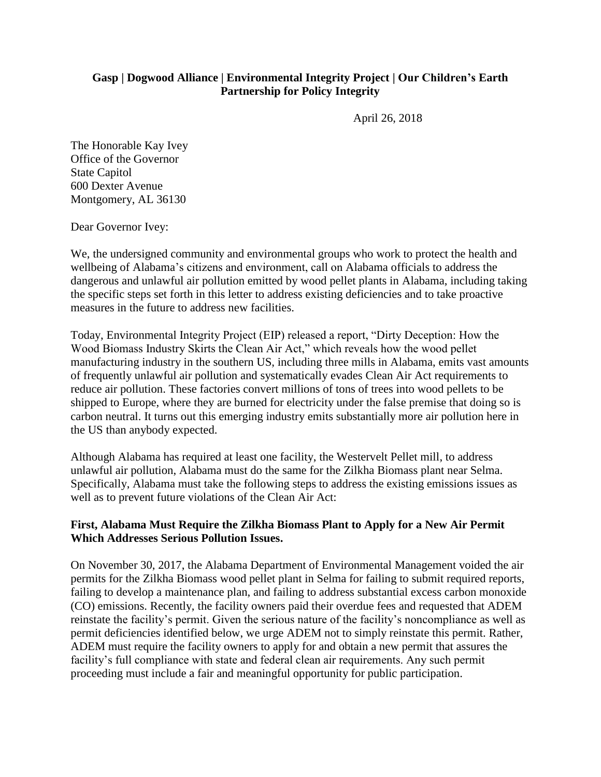## **Gasp | Dogwood Alliance | Environmental Integrity Project | Our Children's Earth Partnership for Policy Integrity**

April 26, 2018

The Honorable Kay Ivey Office of the Governor State Capitol 600 Dexter Avenue Montgomery, AL 36130

Dear Governor Ivey:

We, the undersigned community and environmental groups who work to protect the health and wellbeing of Alabama's citizens and environment, call on Alabama officials to address the dangerous and unlawful air pollution emitted by wood pellet plants in Alabama, including taking the specific steps set forth in this letter to address existing deficiencies and to take proactive measures in the future to address new facilities.

Today, Environmental Integrity Project (EIP) released a report, "Dirty Deception: How the Wood Biomass Industry Skirts the Clean Air Act," which reveals how the wood pellet manufacturing industry in the southern US, including three mills in Alabama, emits vast amounts of frequently unlawful air pollution and systematically evades Clean Air Act requirements to reduce air pollution. These factories convert millions of tons of trees into wood pellets to be shipped to Europe, where they are burned for electricity under the false premise that doing so is carbon neutral. It turns out this emerging industry emits substantially more air pollution here in the US than anybody expected.

Although Alabama has required at least one facility, the Westervelt Pellet mill, to address unlawful air pollution, Alabama must do the same for the Zilkha Biomass plant near Selma. Specifically, Alabama must take the following steps to address the existing emissions issues as well as to prevent future violations of the Clean Air Act:

## **First, Alabama Must Require the Zilkha Biomass Plant to Apply for a New Air Permit Which Addresses Serious Pollution Issues.**

On November 30, 2017, the Alabama Department of Environmental Management voided the air permits for the Zilkha Biomass wood pellet plant in Selma for failing to submit required reports, failing to develop a maintenance plan, and failing to address substantial excess carbon monoxide (CO) emissions. Recently, the facility owners paid their overdue fees and requested that ADEM reinstate the facility's permit. Given the serious nature of the facility's noncompliance as well as permit deficiencies identified below, we urge ADEM not to simply reinstate this permit. Rather, ADEM must require the facility owners to apply for and obtain a new permit that assures the facility's full compliance with state and federal clean air requirements. Any such permit proceeding must include a fair and meaningful opportunity for public participation.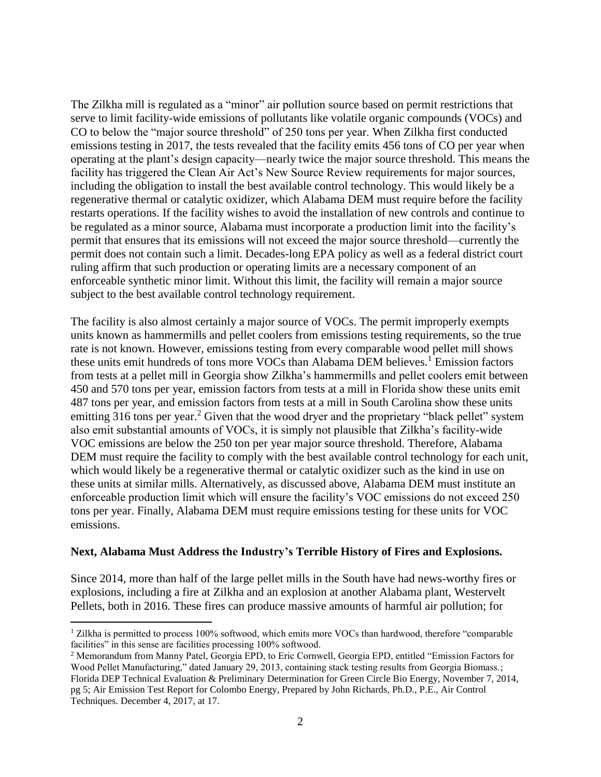The Zilkha mill is regulated as a "minor" air pollution source based on permit restrictions that serve to limit facility-wide emissions of pollutants like volatile organic compounds (VOCs) and CO to below the "major source threshold" of 250 tons per year. When Zilkha first conducted emissions testing in 2017, the tests revealed that the facility emits 456 tons of CO per year when operating at the plant's design capacity—nearly twice the major source threshold. This means the facility has triggered the Clean Air Act's New Source Review requirements for major sources, including the obligation to install the best available control technology. This would likely be a regenerative thermal or catalytic oxidizer, which Alabama DEM must require before the facility restarts operations. If the facility wishes to avoid the installation of new controls and continue to be regulated as a minor source, Alabama must incorporate a production limit into the facility's permit that ensures that its emissions will not exceed the major source threshold—currently the permit does not contain such a limit. Decades-long EPA policy as well as a federal district court ruling affirm that such production or operating limits are a necessary component of an enforceable synthetic minor limit. Without this limit, the facility will remain a major source subject to the best available control technology requirement.

The facility is also almost certainly a major source of VOCs. The permit improperly exempts units known as hammermills and pellet coolers from emissions testing requirements, so the true rate is not known. However, emissions testing from every comparable wood pellet mill shows these units emit hundreds of tons more VOCs than Alabama DEM believes. <sup>1</sup> Emission factors from tests at a pellet mill in Georgia show Zilkha's hammermills and pellet coolers emit between 450 and 570 tons per year, emission factors from tests at a mill in Florida show these units emit 487 tons per year, and emission factors from tests at a mill in South Carolina show these units emitting 316 tons per year.<sup>2</sup> Given that the wood dryer and the proprietary "black pellet" system also emit substantial amounts of VOCs, it is simply not plausible that Zilkha's facility-wide VOC emissions are below the 250 ton per year major source threshold. Therefore, Alabama DEM must require the facility to comply with the best available control technology for each unit, which would likely be a regenerative thermal or catalytic oxidizer such as the kind in use on these units at similar mills. Alternatively, as discussed above, Alabama DEM must institute an enforceable production limit which will ensure the facility's VOC emissions do not exceed 250 tons per year. Finally, Alabama DEM must require emissions testing for these units for VOC emissions.

## **Next, Alabama Must Address the Industry's Terrible History of Fires and Explosions.**

Since 2014, more than half of the large pellet mills in the South have had news-worthy fires or explosions, including a fire at Zilkha and an explosion at another Alabama plant, Westervelt Pellets, both in 2016. These fires can produce massive amounts of harmful air pollution; for

 $\overline{a}$ 

 $1$  Zilkha is permitted to process 100% softwood, which emits more VOCs than hardwood, therefore "comparable" facilities" in this sense are facilities processing 100% softwood.

<sup>2</sup> Memorandum from Manny Patel, Georgia EPD, to Eric Cornwell, Georgia EPD, entitled "Emission Factors for Wood Pellet Manufacturing," dated January 29, 2013, containing stack testing results from Georgia Biomass.; Florida DEP Technical Evaluation & Preliminary Determination for Green Circle Bio Energy, November 7, 2014, pg 5; Air Emission Test Report for Colombo Energy, Prepared by John Richards, Ph.D., P.E., Air Control Techniques. December 4, 2017, at 17.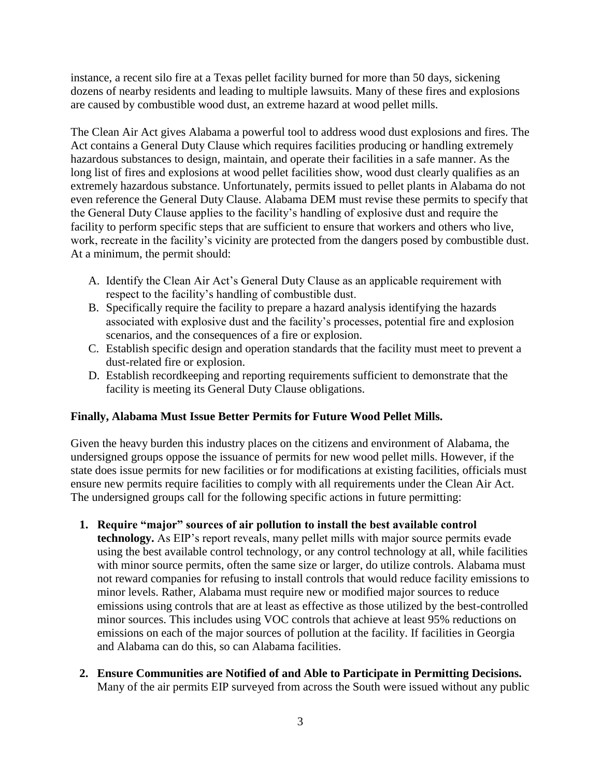instance, a recent silo fire at a Texas pellet facility burned for more than 50 days, sickening dozens of nearby residents and leading to multiple lawsuits. Many of these fires and explosions are caused by combustible wood dust, an extreme hazard at wood pellet mills.

The Clean Air Act gives Alabama a powerful tool to address wood dust explosions and fires. The Act contains a General Duty Clause which requires facilities producing or handling extremely hazardous substances to design, maintain, and operate their facilities in a safe manner. As the long list of fires and explosions at wood pellet facilities show, wood dust clearly qualifies as an extremely hazardous substance. Unfortunately, permits issued to pellet plants in Alabama do not even reference the General Duty Clause. Alabama DEM must revise these permits to specify that the General Duty Clause applies to the facility's handling of explosive dust and require the facility to perform specific steps that are sufficient to ensure that workers and others who live, work, recreate in the facility's vicinity are protected from the dangers posed by combustible dust. At a minimum, the permit should:

- A. Identify the Clean Air Act's General Duty Clause as an applicable requirement with respect to the facility's handling of combustible dust.
- B. Specifically require the facility to prepare a hazard analysis identifying the hazards associated with explosive dust and the facility's processes, potential fire and explosion scenarios, and the consequences of a fire or explosion.
- C. Establish specific design and operation standards that the facility must meet to prevent a dust-related fire or explosion.
- D. Establish recordkeeping and reporting requirements sufficient to demonstrate that the facility is meeting its General Duty Clause obligations.

## **Finally, Alabama Must Issue Better Permits for Future Wood Pellet Mills.**

Given the heavy burden this industry places on the citizens and environment of Alabama, the undersigned groups oppose the issuance of permits for new wood pellet mills. However, if the state does issue permits for new facilities or for modifications at existing facilities, officials must ensure new permits require facilities to comply with all requirements under the Clean Air Act. The undersigned groups call for the following specific actions in future permitting:

- **1. Require "major" sources of air pollution to install the best available control technology.** As EIP's report reveals, many pellet mills with major source permits evade using the best available control technology, or any control technology at all, while facilities with minor source permits, often the same size or larger, do utilize controls. Alabama must not reward companies for refusing to install controls that would reduce facility emissions to minor levels. Rather, Alabama must require new or modified major sources to reduce emissions using controls that are at least as effective as those utilized by the best-controlled minor sources. This includes using VOC controls that achieve at least 95% reductions on emissions on each of the major sources of pollution at the facility. If facilities in Georgia and Alabama can do this, so can Alabama facilities.
- **2. Ensure Communities are Notified of and Able to Participate in Permitting Decisions.**  Many of the air permits EIP surveyed from across the South were issued without any public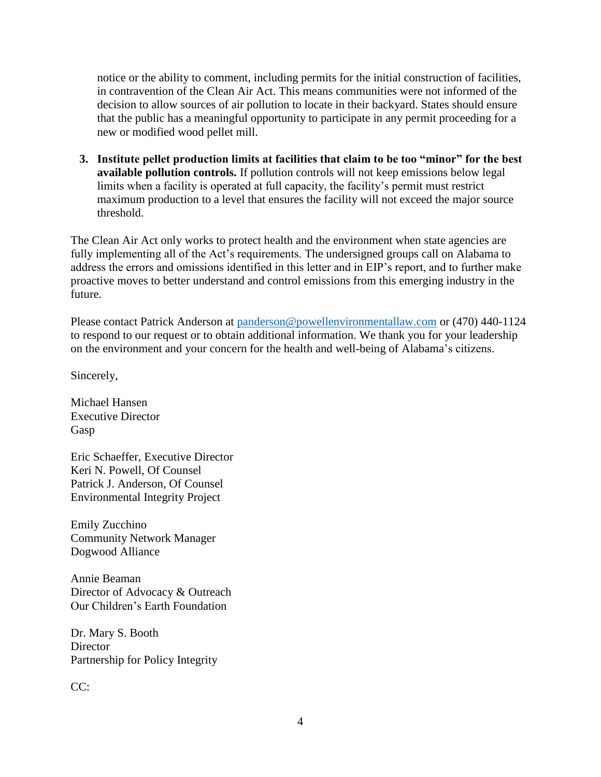notice or the ability to comment, including permits for the initial construction of facilities, in contravention of the Clean Air Act. This means communities were not informed of the decision to allow sources of air pollution to locate in their backyard. States should ensure that the public has a meaningful opportunity to participate in any permit proceeding for a new or modified wood pellet mill.

**3. Institute pellet production limits at facilities that claim to be too "minor" for the best available pollution controls.** If pollution controls will not keep emissions below legal limits when a facility is operated at full capacity, the facility's permit must restrict maximum production to a level that ensures the facility will not exceed the major source threshold.

The Clean Air Act only works to protect health and the environment when state agencies are fully implementing all of the Act's requirements. The undersigned groups call on Alabama to address the errors and omissions identified in this letter and in EIP's report, and to further make proactive moves to better understand and control emissions from this emerging industry in the future.

Please contact Patrick Anderson at [panderson@powellenvironmentallaw.com](mailto:panderson@powellenvironmentallaw.com) or (470) 440-1124 to respond to our request or to obtain additional information. We thank you for your leadership on the environment and your concern for the health and well-being of Alabama's citizens.

Sincerely,

Michael Hansen Executive Director Gasp

Eric Schaeffer, Executive Director Keri N. Powell, Of Counsel Patrick J. Anderson, Of Counsel Environmental Integrity Project

Emily Zucchino Community Network Manager Dogwood Alliance

Annie Beaman Director of Advocacy & Outreach Our Children's Earth Foundation

Dr. Mary S. Booth **Director** Partnership for Policy Integrity

CC: